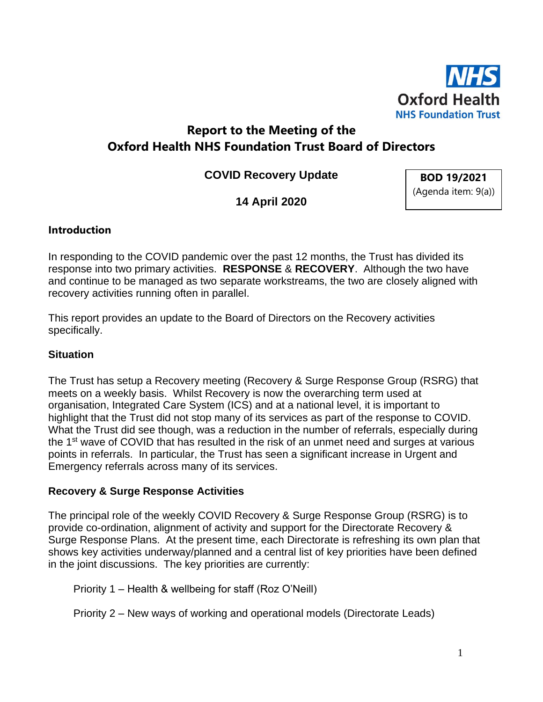

# **Report to the Meeting of the Oxford Health NHS Foundation Trust Board of Directors**

**COVID Recovery Update**

**BOD 19/2021** (Agenda item: 9(a))

**14 April 2020**

### **Introduction**

In responding to the COVID pandemic over the past 12 months, the Trust has divided its response into two primary activities. **RESPONSE** & **RECOVERY**. Although the two have and continue to be managed as two separate workstreams, the two are closely aligned with recovery activities running often in parallel.

This report provides an update to the Board of Directors on the Recovery activities specifically.

### **Situation**

The Trust has setup a Recovery meeting (Recovery & Surge Response Group (RSRG) that meets on a weekly basis. Whilst Recovery is now the overarching term used at organisation, Integrated Care System (ICS) and at a national level, it is important to highlight that the Trust did not stop many of its services as part of the response to COVID. What the Trust did see though, was a reduction in the number of referrals, especially during the 1<sup>st</sup> wave of COVID that has resulted in the risk of an unmet need and surges at various points in referrals. In particular, the Trust has seen a significant increase in Urgent and Emergency referrals across many of its services.

#### **Recovery & Surge Response Activities**

The principal role of the weekly COVID Recovery & Surge Response Group (RSRG) is to provide co-ordination, alignment of activity and support for the Directorate Recovery & Surge Response Plans. At the present time, each Directorate is refreshing its own plan that shows key activities underway/planned and a central list of key priorities have been defined in the joint discussions. The key priorities are currently:

Priority 1 – Health & wellbeing for staff (Roz O'Neill)

Priority 2 – New ways of working and operational models (Directorate Leads)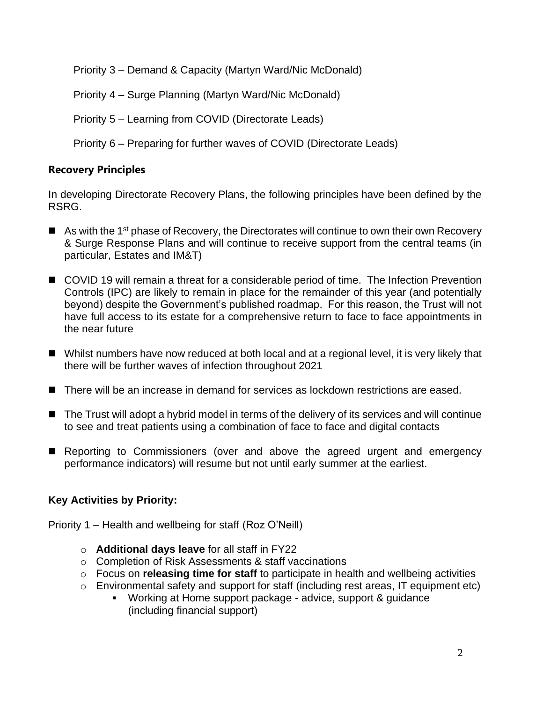Priority 3 – Demand & Capacity (Martyn Ward/Nic McDonald)

Priority 4 – Surge Planning (Martyn Ward/Nic McDonald)

Priority 5 – Learning from COVID (Directorate Leads)

Priority 6 – Preparing for further waves of COVID (Directorate Leads)

# **Recovery Principles**

In developing Directorate Recovery Plans, the following principles have been defined by the RSRG.

- As with the 1<sup>st</sup> phase of Recovery, the Directorates will continue to own their own Recovery & Surge Response Plans and will continue to receive support from the central teams (in particular, Estates and IM&T)
- COVID 19 will remain a threat for a considerable period of time. The Infection Prevention Controls (IPC) are likely to remain in place for the remainder of this year (and potentially beyond) despite the Government's published roadmap. For this reason, the Trust will not have full access to its estate for a comprehensive return to face to face appointments in the near future
- Whilst numbers have now reduced at both local and at a regional level, it is very likely that there will be further waves of infection throughout 2021
- There will be an increase in demand for services as lockdown restrictions are eased.
- The Trust will adopt a hybrid model in terms of the delivery of its services and will continue to see and treat patients using a combination of face to face and digital contacts
- Reporting to Commissioners (over and above the agreed urgent and emergency performance indicators) will resume but not until early summer at the earliest.

# **Key Activities by Priority:**

Priority 1 – Health and wellbeing for staff (Roz O'Neill)

- o **Additional days leave** for all staff in FY22
- o Completion of Risk Assessments & staff vaccinations
- o Focus on **releasing time for staff** to participate in health and wellbeing activities
- o Environmental safety and support for staff (including rest areas, IT equipment etc)
	- Working at Home support package advice, support & guidance (including financial support)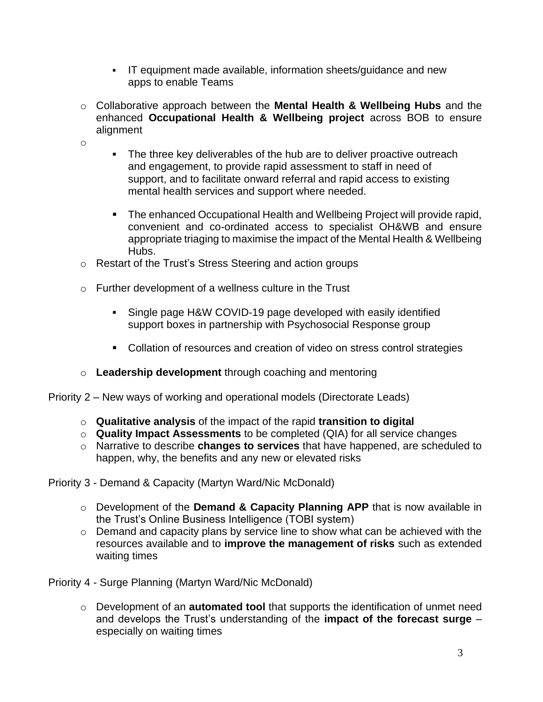- IT equipment made available, information sheets/guidance and new apps to enable Teams
- o Collaborative approach between the **Mental Health & Wellbeing Hubs** and the enhanced **Occupational Health & Wellbeing project** across BOB to ensure alignment
- o
- The three key deliverables of the hub are to deliver proactive outreach and engagement, to provide rapid assessment to staff in need of support, and to facilitate onward referral and rapid access to existing mental health services and support where needed.
- The enhanced Occupational Health and Wellbeing Project will provide rapid, convenient and co-ordinated access to specialist OH&WB and ensure appropriate triaging to maximise the impact of the Mental Health & Wellbeing Hubs.
- o Restart of the Trust's Stress Steering and action groups
- o Further development of a wellness culture in the Trust
	- Single page H&W COVID-19 page developed with easily identified support boxes in partnership with Psychosocial Response group
	- Collation of resources and creation of video on stress control strategies
- o **Leadership development** through coaching and mentoring
- Priority 2 New ways of working and operational models (Directorate Leads)
	- o **Qualitative analysis** of the impact of the rapid **transition to digital**
	- o **Quality Impact Assessments** to be completed (QIA) for all service changes
	- o Narrative to describe **changes to services** that have happened, are scheduled to happen, why, the benefits and any new or elevated risks

Priority 3 - Demand & Capacity (Martyn Ward/Nic McDonald)

- o Development of the **Demand & Capacity Planning APP** that is now available in the Trust's Online Business Intelligence (TOBI system)
- o Demand and capacity plans by service line to show what can be achieved with the resources available and to **improve the management of risks** such as extended waiting times

Priority 4 - Surge Planning (Martyn Ward/Nic McDonald)

o Development of an **automated tool** that supports the identification of unmet need and develops the Trust's understanding of the **impact of the forecast surge** – especially on waiting times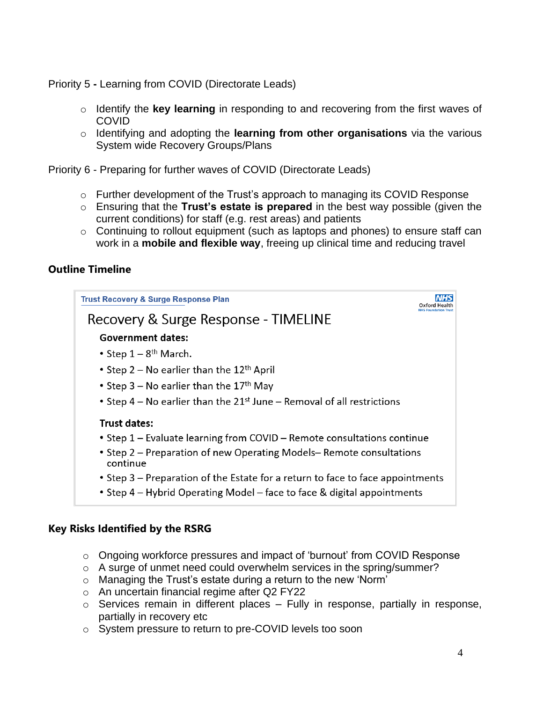Priority 5 **-** Learning from COVID (Directorate Leads)

- o Identify the **key learning** in responding to and recovering from the first waves of COVID
- o Identifying and adopting the **learning from other organisations** via the various System wide Recovery Groups/Plans

Priority 6 - Preparing for further waves of COVID (Directorate Leads)

- o Further development of the Trust's approach to managing its COVID Response
- o Ensuring that the **Trust's estate is prepared** in the best way possible (given the current conditions) for staff (e.g. rest areas) and patients
- $\circ$  Continuing to rollout equipment (such as laptops and phones) to ensure staff can work in a **mobile and flexible way**, freeing up clinical time and reducing travel

## **Outline Timeline**



### **Key Risks Identified by the RSRG**

- o Ongoing workforce pressures and impact of 'burnout' from COVID Response
- $\circ$  A surge of unmet need could overwhelm services in the spring/summer?
- o Managing the Trust's estate during a return to the new 'Norm'
- o An uncertain financial regime after Q2 FY22
- $\circ$  Services remain in different places Fully in response, partially in response, partially in recovery etc
- o System pressure to return to pre-COVID levels too soon